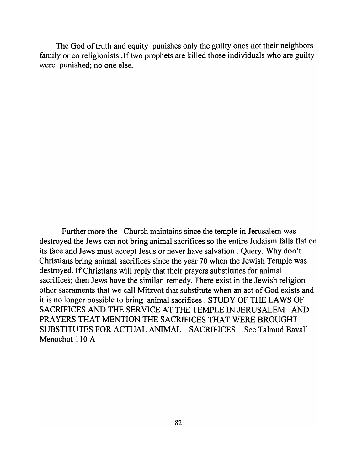The God of truth and equity punishes only the guilty ones not their neighbors family or co religionists .If two prophets are killed those individuals who are guilty were punished; no one else.

Further more the Church maintains since the temple in Jerusalem was destroyed the Jews can not bring animal sacrifices so the entire Judaism falls flat on its face and Jews must accept Jesus or never have salvation. Query. Why don't Christians bring animal sacrifices since the year 70 when the Jewish Temple was destroyed. If Christians will reply that their prayers substitutes for animal sacrifices; then Jews have the similar remedy. There exist in the Jewish religion other sacraments that we call Mitzvot that substitute when an act of God exists and it is no longer possible to bring animal sacrifices. STUDY OF THE LAWS OF SACRIFICES AND THE SERVICE AT THE TEMPLE IN JERUSALEM AND PRAYERS THAT MENTION THE SACRIFICES THAT WERE BROUGHT SUBSTITUTES FOR ACTUAL ANIMAL SACRIFICES .See Talmud Bavali Menochot 110 A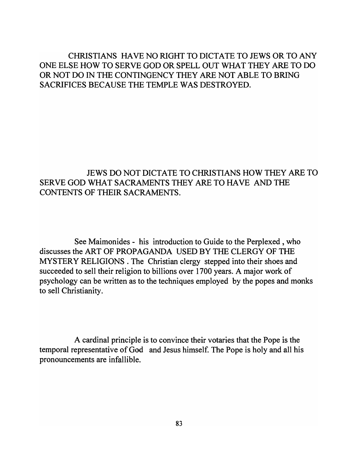CHRISTIANS HA VE NO RIGHT TO DICTATE TO JEWS OR TO ANY ONE ELSE HOW TO SERVE GOD OR SPELL OUT WHAT THEY ARE TO DO OR NOT DO IN THE CONTINGENCY THEY ARE NOT ABLE TO BRING SACRIFICES BECAUSE THE TEMPLE WAS DESTROYED.

# JEWS DO NOT DICTATE TO CHRISTIANS HOW THEY ARE TO SERVE GOD WHAT SACRAMENTS THEY ARE TO HAVE AND THE CONTENTS OF THEIR SACRAMENTS.

See Maimonides - his introduction to Guide to the Perplexed, who discusses the ART OF PROPAGANDA USED BY THE CLERGY OF THE MYSTERY RELIGIONS. The Christian clergy stepped into their shoes and succeeded to sell their religion to billions over 1700 years. A major work of psychology can be written as to the techniques employed by the popes and monks to sell Christianity.

A cardinal principle is to convince their votaries that the Pope is the temporal representative of God and Jesus himself. The Pope is holy and all his pronouncements are infallible.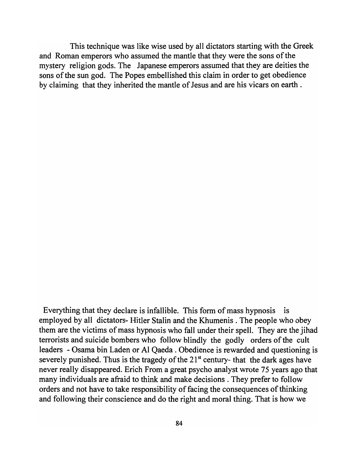This technique was like wise used by all dictators starting with the Greek and Roman emperors who assumed the mantle that they were the sons of the mystery religion gods. The Japanese emperors assumed that they are deities the sons of the sun god. The Popes embellished this claim in order to get obedience by claiming that they inherited the mantle of Jesus and are his vicars on earth.

Everything that they declare is infallible. This form of mass hypnosis is employed by all dictators- Hitler Stalin and the Khumenis . The people who obey them are the victims of mass hypnosis who fall under their spell. They are the jihad terrorists and suicide bombers who follow blindly the godly orders of the cult leaders - Osama bin Laden or Al Qaeda . Obedience is rewarded and questioning is severely punished. Thus is the tragedy of the  $21<sup>st</sup>$  century- that the dark ages have never really disappeared. Erich From a great psycho analyst wrote 75 years ago that many individuals are afraid to think and make decisions. They prefer to follow orders and not have to take responsibility of facing the consequences of thinking and following their conscience and do the right and moral thing. That is how we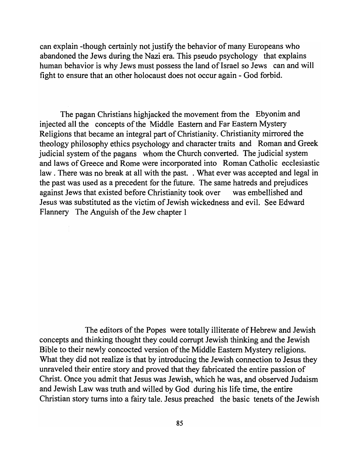can explain -though certainly not justify the behavior of many Europeans who abandoned the Jews during the Nazi era. This pseudo psychology that explains human behavior is why Jews must possess the land of Israel so Jews can and will fight to ensure that an other holocaust does not occur again - God forbid.

The pagan Christians highjacked the movement from the Ebyonim and injected all the concepts of the Middle Eastern and Far Eastern Mystery Religions that became an integral part of Christianity. Christianity mirrored the theology philosophy ethics psychology and character traits and Roman and Greek judicial system of the pagans whom the Church converted. The judicial system and laws of Greece and Rome were incorporated into Roman Catholic ecclesiastic law . There was no break at all with the past. . What ever was accepted and legal in the past was used as a precedent for the future. The same hatreds and prejudices against Jews that existed before Christianity took over was embellished and Jesus was substituted as the victim of Jewish wickedness and evil. See Edward Flannery The Anguish of the Jew chapter 1

The editors of the Popes were totally illiterate of Hebrew and Jewish concepts and thinking thought they could corrupt Jewish thinking and the Jewish Bible to their newly concocted version of the Middle Eastern Mystery religions. What they did not realize is that by introducing the Jewish connection to Jesus they unraveled their entire story and proved that they fabricated the entire passion of Christ. Once you admit that Jesus was Jewish, which he was, and observed Judaism and Jewish Law was truth and willed by God during his life time, the entire Christian story turns into a fairy tale. Jesus preached the basic tenets of the Jewish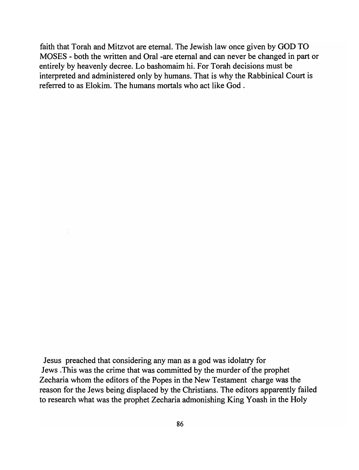faith that Torah and Mitzvot are eternal. The Jewish law once given by GOD TO MOSES - both the written and Oral -are eternal and can never be changed in part or entirely by heavenly decree. Lo bashomaim hi. For Torah decisions must be interpreted and administered only by humans. That is why the Rabbinical Court is referred to as Elokim. The humans mortals who act like God .

Jesus preached that considering any man as a god was idolatry for Jews .This was the crime that was committed by the murder of the prophet Zecharia whom the editors of the Popes in the New Testament charge was the reason for the Jews being displaced by the Christians. The editors apparently failed to research what was the prophet Zecharia admonishing King Y oash in the Holy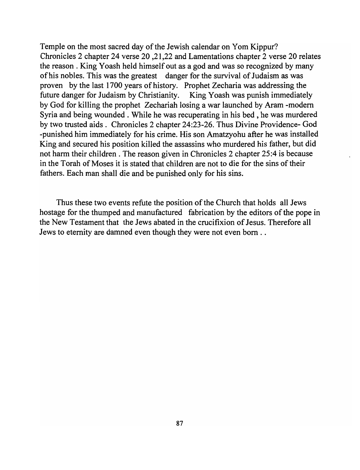Temple on the most sacred day of the Jewish calendar on Yom Kippur? Chronicles 2 chapter 24 verse 20 ,21,22 and Lamentations chapter 2 verse 20 relates the reason. King Yoash held himself out as a god and was so recognized by many of his nobles. This was the greatest danger for the survival of Judaism as was proven by the last 1700 years of history. Prophet Zecharia was addressing the future danger for Judaism by Christianity. King Yoash was punish immediately by God for killing the prophet Zechariah losing a war launched by Aram -modem Syria and being wounded. While he was recuperating in his bed, he was murdered by two trusted aids. Chronicles 2 chapter 24:23-26. Thus Divine Providence- God -punished him immediately for his crime. His son Amatzyohu after he was installed King and secured his position killed the assassins who murdered his father, but did not harm their children. The reason given in Chronicles 2 chapter 25:4 is because in the Torah of Moses it is stated that children are not to die for the sins of their fathers. Each man shall die and be punished only for his sins.

Thus these two events refute the position of the Church that holds all Jews hostage for the thumped and manufactured fabrication by the editors of the pope in the New Testament that the Jews abated in the crucifixion of Jesus. Therefore all Jews to eternity are damned even though they were not even born ..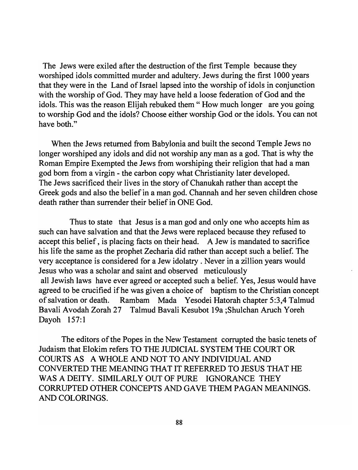The Jews were exiled after the destruction of the first Temple because they worshiped idols committed murder and adultery. Jews during the first 1000 years that they were in the Land of Israel lapsed into the worship of idols in conjunction with the worship of God. They may have held a loose federation of God and the idols. This was the reason Elijah rebuked them" How much longer are you going to worship God and the idols? Choose either worship God or the idols. You can not have both"

When the Jews returned from Babylonia and built the second Temple Jews no longer worshiped any idols and did not worship any man as a god. That is why the Roman Empire Exempted the Jews from worshiping their religion that had a man god born from a virgin - the carbon copy what Christianity later developed. The Jews sacrificed their lives in the story of Chanukah rather than accept the Greek gods and also the belief in a man god. Channah and her seven children chose death rather than surrender their belief in ONE God.

Thus to state that Jesus is a man god and only one who accepts him as such can have salvation and that the Jews were replaced because they refused to accept this belief, is placing facts on their head. A Jew is mandated to sacrifice his life the same as the prophet Zecharia did rather than accept such a belief. The very acceptance is considered for a Jew idolatry. Never in a zillion years would Jesus who was a scholar and saint and observed meticulously all Jewish laws have ever agreed or accepted such a belief. Yes, Jesus would have agreed to be crucified ifhe was given a choice of baptism to the Christian concept of salvation or death. Rambam Mada Yesodei Hatorah chapter 5:3,4 Talmud Bavali Avodah Zorah 27 Talmud Bavali Kesubot 19a ;Shulchan Aruch Yoreh Dayoh 157:1

The editors of the Popes in the New Testament corrupted the basic tenets of Judaism that Elokim refers TO THE JUDICIAL SYSTEM THE COURT OR COURTS AS A WHOLE AND NOT TO ANY INDIVIDUAL AND CONVERTED THE MEANING THAT IT REFERRED TO JESUS THAT HE WAS A DEITY. SIMILARLY OUT OF PURE IGNORANCE THEY CORRUPTED OTHER CONCEPTS AND GAVE THEM PAGAN MEANINGS. AND COLORINGS.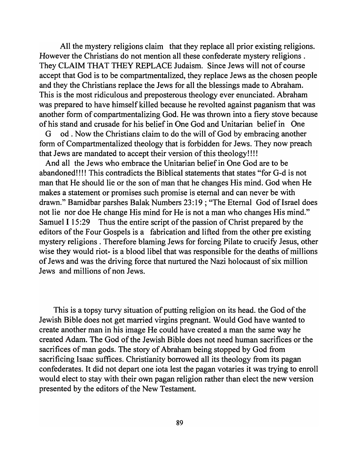All the mystery religions claim that they replace all prior existing religions. However the Christians do not mention all these confederate mystery religions . They CLAIM THAT THEY REPLACE Judaism. Since Jews will not of course accept that God is to be compartmentalized, they replace Jews as the chosen people and they the Christians replace the Jews for all the blessings made to Abraham. This is the most ridiculous and preposterous theology ever enunciated. Abraham was prepared to have himself killed because he revolted against paganism that was another form of compartmentalizing God. He was thrown into a fiery stove because of his stand and crusade for his belief in One God and Unitarian belief in One

G od . Now the Christians claim to do the will of God by embracing another form of Compartmentalized theology that is forbidden for Jews. They now preach that Jews are mandated to accept their version of this theology!!!!

And all the Jews who embrace the Unitarian belief in One God are to be abandoned!!!! This contradicts the Biblical statements that states "for G-d is not man that He should lie or the son of man that he changes His mind. God when He makes a statement or promises such promise is eternal and can never be with drawn." Bamidbar parshes Balak Numbers 23: 19 ; "The Eternal God of Israel does not lie nor doe He change His mind for He is not a man who changes His mind." Samuel I 15:29 Thus the entire script of the passion of Christ prepared by the editors of the Four Gospels is a fabrication and lifted from the other pre existing mystery religions. Therefore blaming Jews for forcing Pilate to crucify Jesus, other wise they would riot- is a blood libel that was responsible for the deaths of millions of Jews and was the driving force that nurtured the Nazi holocaust of six million Jews and millions of non Jews.

This is a topsy turvy situation of putting religion on its head. the God of the Jewish Bible does not get married virgins pregnant. Would God have wanted to create another man in his image He could have created a man the same way he created Adam. The God of the Jewish Bible does not need human sacrifices or the sacrifices of man gods. The story of Abraham being stopped by God from sacrificing Isaac suffices. Christianity borrowed all its theology from its pagan confederates. It did not depart one iota lest the pagan votaries it was trying to enroll would elect to stay with their own pagan religion rather than elect the new version presented by the editors of the New Testament.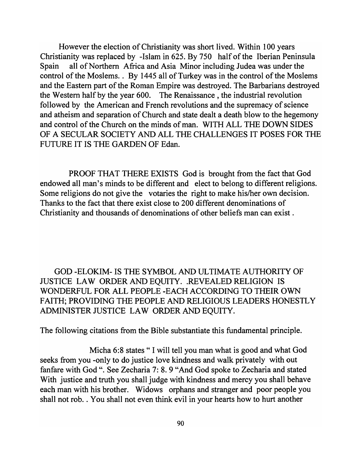However the election of Christianity was short lived. Within 100 years Christianity was replaced by -Islam in 625. By 750 half of the Iberian Peninsula Spain all of Northern Africa and Asia Minor including Judea was under the control of the Moslems.. By 1445 all of Turkey was in the control of the Moslems and the Eastern part of the Roman Empire was destroyed. The Barbarians destroyed the Western half by the year 600. The Renaissance, the industrial revolution followed by the American and French revolutions and the supremacy of science and atheism and separation of Church and state dealt a death blow to the hegemony and control of the Church on the minds of man. WITH ALL THE DOWN SIDES OF A SECULAR SOCIETY AND ALL THE CHALLENGES IT POSES FOR THE FUTURE IT IS THE GARDEN OF Edan.

PROOF THAT THERE EXISTS God is brought from the fact that God endowed all man's minds to be different and elect to belong to different religions. Some religions do not give the votaries the right to make his/her own decision. Thanks to the fact that there exist close to 200 different denominations of Christianity and thousands of denominations of other beliefs man can exist.

GOD -ELOKIM- IS THE SYMBOL AND ULTIMATE AUTHORITY OF JUSTICE LAW ORDER AND EQUITY. .REVEALED RELIGION IS WONDERFUL FOR ALL PEOPLE -EACH ACCORDING TO THEIR OWN FAITH; PROVIDING THE PEOPLE AND RELIGIOUS LEADERS HONESTLY ADMINISTER JUSTICE LAW ORDER AND EQUITY.

The following citations from the Bible substantiate this fundamental principle.

Micha 6:8 states" I will tell you man what is good and what God seeks from you -only to do justice love kindness and walk privately with out fanfare with God ". See Zecharia 7: 8.9 "And God spoke to Zecharia and stated With justice and truth you shall judge with kindness and mercy you shall behave each man with his brother. Widows orphans and stranger and poor people you shall not rob. . You shall not even think evil in your hearts how to hurt another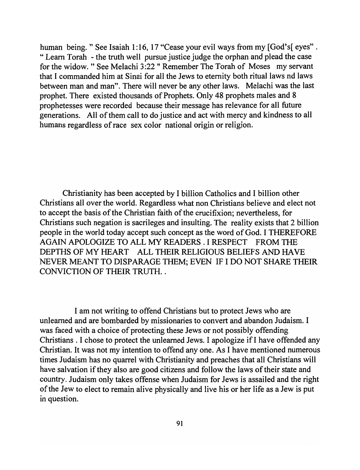human being. " See Isaiah 1:16, 17 "Cease your evil ways from my [God's[ eyes". " Learn Torah - the truth well pursue justice judge the orphan and plead the case for the widow. " See Melachi 3 :22 " Remember The Torah of Moses my servant that I commanded him at Sinai for all the Jews to eternity both ritual laws nd laws between man and man". There will never be any other laws. Melachi was the last prophet. There existed thousands of Prophets. Only 48 prophets males and 8 prophetesses were recorded because their message has relevance for all future generations. All of them call to do justice and act with mercy and kindness to all humans regardless of race sex color national origin or religion.

Christianity has been accepted by I billion Catholics and I billion other Christians all over the world. Regardless what non Christians believe and elect not to accept the basis of the Christian faith of the crucifixion; nevertheless, for Christians such negation is sacrileges and insulting. The reality exists that 2 billion people in the world today accept such concept as the word of God. I THEREFORE AGAIN APOLOGIZE TO ALL MY READERS. I RESPECT FROM THE DEPTHS OF MY HEART ALL THEIR RELIGIOUS BELIEFS AND HAVE NEVER MEANT TO DISPARAGE THEM; EVEN IF I DO NOT SHARE THEIR CONVICTION OF THEIR TRUTH...

I am not writing to offend Christians but to protect Jews who are unlearned and are bombarded by missionaries to convert and abandon Judaism. I was faced with a choice of protecting these Jews or not possibly offending Christians. I chose to protect the unlearned Jews. I apologize if I have offended any Christian. It was not my intention to offend anyone. As I have mentioned numerous times Judaism has no quarrel with Christianity and preaches that all Christians will have salvation if they also are good citizens and follow the laws of their state and country. Judaism only takes offense when Judaism for Jews is assailed and the right of the Jew to elect to remain alive physically and live his or her life as a Jew is put in question.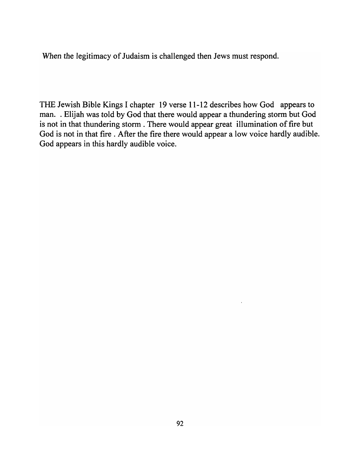When the legitimacy of Judaism is challenged then Jews must respond.

THE Jewish Bible Kings I chapter 19 verse 11-12 describes how God appears to man. . Elijah was told by God that there would appear a thundering storm but God is not in that thundering storm . There would appear great illumination of fire but God is not in that fire . After the fire there would appear a low voice hardly audible. God appears in this hardly audible voice.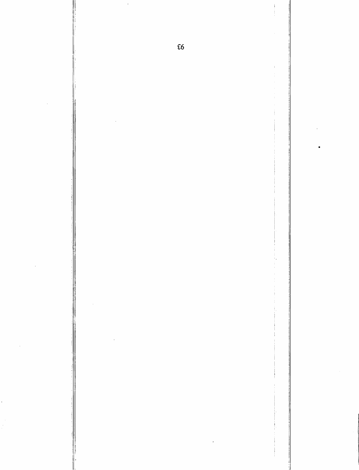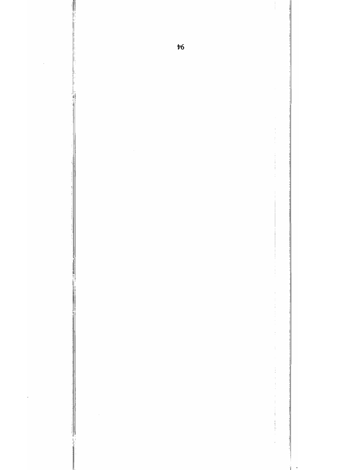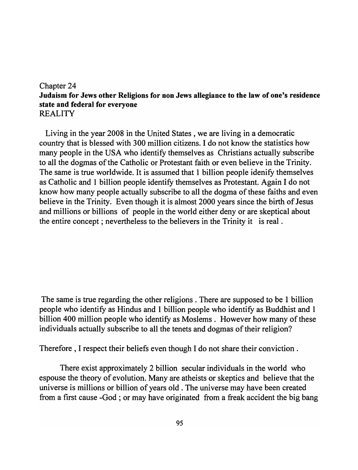# Chapter 24 Judaism for Jews other Religions for non Jews allegiance to the law of one's residence state and federal for everyone REALITY

Living in the year 2008 in the United States, we are living in a democratic country that is blessed with 300 million citizens. I do not know the statistics how many people in the USA who identify themselves as Christians actually subscribe to all the dogmas of the Catholic or Protestant faith or even believe in the Trinity. The same is true worldwide. It is assumed that 1 billion people idenify themselves as Catholic and 1 billion people identify themselves as Protestant. Again I do not know how many people actually subscribe to all the dogma of these faiths and even believe in the Trinity. Even though it is almost 2000 years since the birth of Jesus and millions or billions of people in the world either deny or are skeptical about the entire concept; nevertheless to the believers in the Trinity it is real .

The same is true regarding the other religions . There are supposed to be 1 billion people who identify as Hindus and 1 billion people who identify as Buddhist and 1 billion 400 million people who identify as Moslems. However how many of these individuals actually subscribe to all the tenets and dogmas of their religion?

Therefore , I respect their beliefs even though I do not share their conviction .

There exist approximately 2 billion secular individuals in the world who espouse the theory of evolution. Many are atheists or skeptics and believe that the universe is millions or billion of years old. The universe may have been created from a first cause -God ; or may have originated from a freak accident the big bang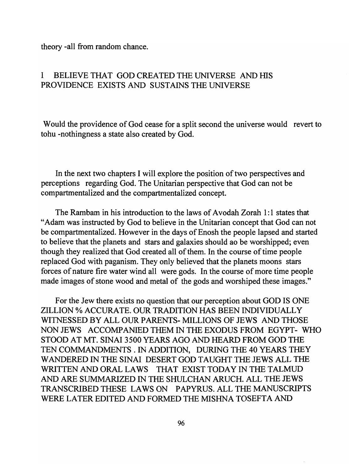theory -all from random chance.

# I BELIEVE THAT GOD CREATED THE UNIVERSE AND HIS PROVIDENCE EXISTS AND SUSTAINS THE UNIVERSE

Would the providence of God cease for a split second the universe would revert to tohu -nothingness a state also created by God.

In the next two chapters I will explore the position of two perspectives and perceptions regarding God. The Unitarian perspective that God can not be compartmentalized and the compartmentalized concept.

The Rambam in his introduction to the laws of Avodah Zorah 1:1 states that "Adam was instructed by God to believe in the Unitarian concept that God can not be compartmentalized. However in the days of Enosh the people lapsed and started to believe that the planets and stars and galaxies should ao be worshipped; even though they realized that God created all of them. In the course of time people replaced God with paganism. They only believed that the planets moons stars forces of nature fire water wind all were gods. In the course of more time people made images of stone wood and metal of the gods and worshiped these images."

For the Jew there exists no question that our perception about GOD IS ONE ZILLION % ACCURATE. OUR TRADITION HAS BEEN INDIVIDUALLY WITNESSED BY ALL OUR PARENTS- MILLIONS OF JEWS AND THOSE NON JEWS ACCOMPANIED THEM IN THE EXODUS FROM EGYPT- WHO STOOD AT MT. SINAI 3500 YEARS AGO AND HEARD FROM GOD THE TEN COMMANDMENTS. IN ADDITION, DURING THE 40 YEARS THEY WANDERED IN THE SINAI DESERT GOD TAUGHT THE JEWS ALL THE WRITTEN AND ORAL LAWS THAT EXIST TODAY IN THE TALMUD AND ARE SUMMARIZED IN THE SHULCHAN ARUCH. ALL THE JEWS TRANSCRIBED THESE LAWS ON PAPYRUS. ALL THE MANUSCRIPTS WERE LATER EDITED AND FORMED THE MISHNA TOSEFTA AND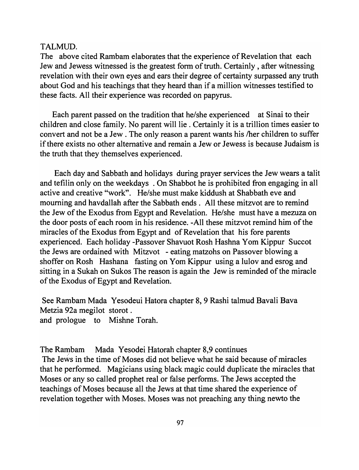# TALMUD.

The above cited Rambam elaborates that the experience of Revelation that each Jew and Jewess witnessed is the greatest form of truth. Certainly, after witnessing revelation with their own eyes and ears their degree of certainty surpassed any truth about God and his teachings that they heard than if a million witnesses testified to these facts. All their experience was recorded on papyrus.

Each parent passed on the tradition that he/she experienced at Sinai to their children and close family. No parent will lie . Certainly it is a trillion times easier to convert and not be a Jew . The only reason a parent wants his /her children to suffer if there exists no other alternative and remain a Jew or Jewess is because Judaism is the truth that they themselves experienced.

Each day and Sabbath and holidays during prayer services the Jew wears a talit and tefilin only on the weekdays. On Shabbot he is prohibited fron engaging in all active and creative "work". He/she must make kiddush at Shabbath eve and mourning and havdallah after the Sabbath ends. All these mitzvot are to remind the Jew of the Exodus from Egypt and Revelation. He/she must have a mezuza on the door posts of each room in his residence. -All these mitzvot remind him of the miracles of the Exodus from Egypt and of Revelation that his fore parents experienced. Each holiday -Passover Shavuot Rosh Hashna Yom Kippur Succot the Jews are ordained with Mitzvot - eating matzohs on Passover blowing a shoffer on Rosh Hashana fasting on Yom Kippur using a lulov and esrog and sitting in a Sukah on Sukos The reason is again the Jew is reminded of the miracle of the Exodus of Egypt and Revelation.

See Rambam Mada Yesodeui Hatora chapter 8, 9 Rashi talmud Bavali Bava Metzia 92a megilot storot. and prologue to Mishne Torah.

The Rambam Mada Yesodei Hatorah chapter 8,9 continues The Jews in the time of Moses did not believe what he said because of miracles that he performed. Magicians using black magic could duplicate the miracles that Moses or any so called prophet real or false performs. The Jews accepted the teachings of Moses because all the Jews at that time shared the experience of revelation together with Moses. Moses was not preaching any thing newto the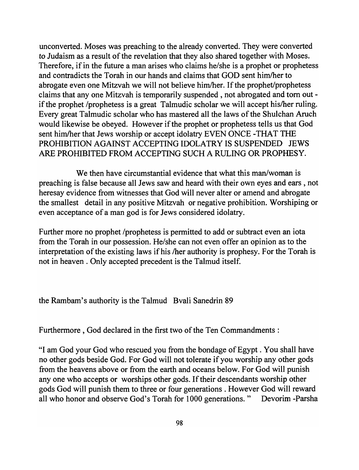unconverted. Moses was preaching to the already converted. They were converted to Judaism as a result of the revelation that they also shared together with Moses. Therefore, if in the future a man arises who claims he/she is a prophet or prophetess and contradicts the Torah in our hands and claims that GOD sent him/her to abrogate even one Mitzvah we will not believe him/her. If the prophet/prophetess claims that anyone Mitzvah is temporarily suspended, not abrogated and torn out if the prophet /prophetess is a great Talmudic scholar we will accept his/her ruling. Every great Talmudic scholar who has mastered all the laws of the Shulchan Aruch would likewise be obeyed. However if the prophet or prophetess tells us that God sent him/her that Jews worship or accept idolatry EVEN ONCE -THAT THE PROHIBITION AGAINST ACCEPTING IDOLATRY IS SUSPENDED JEWS ARE PROHIBITED FROM ACCEPTING SUCH A RULING OR PROPHESY.

We then have circumstantial evidence that what this man/woman is preaching is false because all Jews saw and heard with their own eyes and ears, not heresay evidence from witnesses that God will never alter or amend and abrogate the smallest detail in any positive Mitzvah or negative prohibition. Worshiping or even acceptance of a man god is for Jews considered idolatry.

Further more no prophet /prophetess is permitted to add or subtract even an iota from the Torah in our possession. He/she can not even offer an opinion as to the interpretation of the existing laws if his /her authority is prophesy. For the Torah is not in heaven. Only accepted precedent is the Talmud itself.

the Rambam's authority is the Talmud Bvali Sanedrin 89

Furthermore, God declared in the first two of the Ten Commandments:

"I am God your God who rescued you from the bondage of Egypt . You shall have no other gods beside God. For God will not tolerate if you worship any other gods from the heavens above or from the earth and oceans below. For God will punish anyone who accepts or worships other gods. If their descendants worship other gods God will punish them to three or four generations. However God will reward all who honor and observe God's Torah for 1000 generations." Devorim -Parsha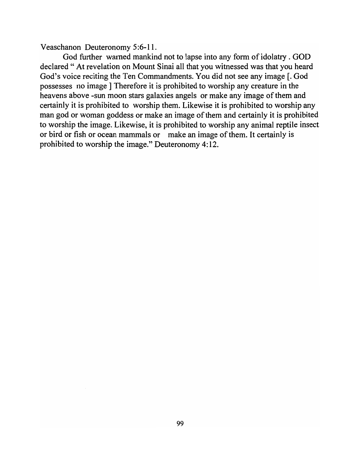Veaschanon Deuteronomy 5:6-11.

God further warned mankind not to lapse into any form of idolatry. GOD declared " At revelation on Mount Sinai all that you witnessed was that you heard God's voice reciting the Ten Commandments. You did not see any image [. God possesses no image] Therefore it is prohibited to worship any creature in the heavens above -sun moon stars galaxies angels or make any image of them and certainly it is prohibited to worship them. Likewise it is prohibited to worship any man god or woman goddess or make an image of them and certainly it is prohibited to worship the image. Likewise, it is prohibited to worship any animal reptile insect or bird or fish or ocean mammals or make an image of them. It certainly is prohibited to worship the image." Deuteronomy 4: 12.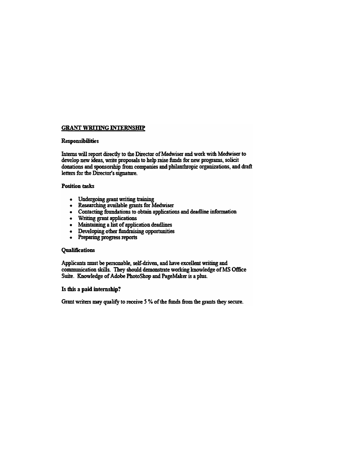## GRANT WRITING INTERNSHIP

### Responsibilities

Interns will report directly to the Director of Medwiser and work with Medwiser to develop new ideas, write proposals to help raise funds for new programs, solicit donations and sponsorship from companies and philanthropic organizations, and draft letters for the Director's signature..

#### Position tasks

- Undergoing grant writing training
- Researching available grants for Medwiser
- Contacting foundations to obtain applications and deadline information
- Writing grant applications
- Maintaining a list of application deadlines
- Developing other fimdraising opportunities
- Preparing progress reports

### Qualificatiom

Applicants must be personable, self-driven, and have excellent writing and communication skills. They should demonstrate working knowledge of MS Office Suite. Knowledge of Adobe PhotoShop and PageMaker is a plus.

### Is this a paid internship?

Grant writers may qualify to receive 5 % of the funds from the grants they secure.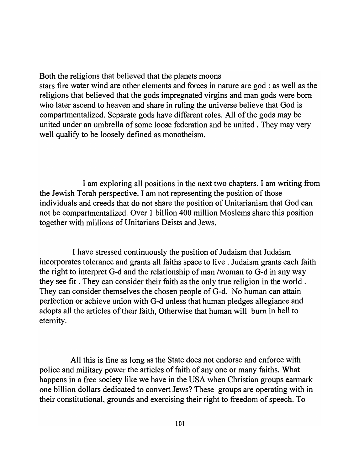Both the religions that believed that the planets moons stars fire water wind are other elements and forces in nature are god : as well as the religions that believed that the gods impregnated virgins and man gods were born who later ascend to heaven and share in ruling the universe believe that God is compartmentalized. Separate gods have different roles. All of the gods may be united under an umbrella of some loose federation and be united. They may very well qualify to be loosely defined as monotheism.

I am exploring all positions in the next two chapters. I am writing from the Jewish Torah perspective. I am not representing the position of those individuals and creeds that do not share the position of Unitarianism that God can not be compartmentalized. Over 1 billion 400 million Moslems share this position together with millions of Unitarians Deists and Jews.

I have stressed continuously the position of Judaism that Judaism incorporates tolerance and grants all faiths space to live. Judaism grants each faith the right to interpret G-d and the relationship of man /woman to G-d in any way they see fit . They can consider their faith as the only true religion in the world. They can consider themselves the chosen people of G-d. No human can attain perfection or achieve union with G-d unless that human pledges allegiance and adopts all the articles of their faith, Otherwise that human will bum in hell to eternity.

All this is fine as long as the State does not endorse and enforce with police and military power the articles of faith of anyone or many faiths. What happens in a free society like we have in the USA when Christian groups earmark one billion dollars dedicated to convert Jews? These groups are operating with in their constitutional, grounds and exercising their right to freedom of speech. To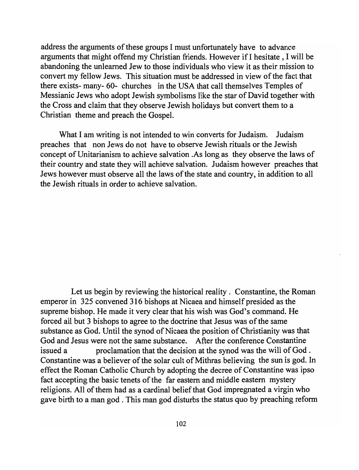address the arguments of these groups I must unfortunately have to advance arguments that might offend my Christian friends. However if I hesitate , I will be abandoning the unlearned Jew to those individuals who view it as their mission to convert my fellow Jews. This situation must be addressed in view of the fact that there exists- many- 60- churches in the USA that call themselves Temples of Messianic Jews who adopt Jewish symbolisms like the star of David together with the Cross and claim that they observe Jewish holidays but convert them to a Christian theme and preach the Gospel.

What I am writing is not intended to win converts for Judaism. Judaism preaches that non Jews do not have to observe Jewish rituals or the Jewish concept of Unitarianism to achieve salvation .As long as they observe the laws of their country and state they will achieve salvation. Judaism however preaches that Jews however must observe all the laws of the state and country, in addition to all the Jewish rituals in order to achieve salvation.

Let us begin by reviewing the historical reality. Constantine, the Roman emperor in 325 convened 316 bishops at Nicaea and himself presided as the supreme bishop. He made it very clear that his wish was God's command. He forced all but 3 bishops to agree to the doctrine that Jesus was of the same substance as God. Until the synod of Nicaea the position of Christianity was that God and Jesus were not the same substance. After the conference Constantine issued a proclamation that the decision at the synod was the will of God. Constantine was a believer of the solar cult of Mithras believing the sun is god. In effect the Roman Catholic Church by adopting the decree of Constantine was ipso fact accepting the basic tenets of the far eastern and middle eastern mystery religions. All of them had as a cardinal belief that God impregnated a virgin who gave birth to a man god. This man god disturbs the status quo by preaching reform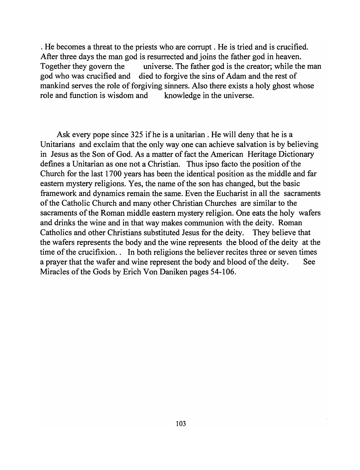· He becomes a threat to the priests who are corrupt. He is tried and is crucified. After three days the man god is resurrected and joins the father god in heaven. Together they govern the universe. The father god is the creator; while the man god who was crucified and died to forgive the sins of Adam and the rest of mankind serves the role of forgiving sinners. Also there exists a holy ghost whose role and function is wisdom and knowledge in the universe.

Ask every pope since 325 ifhe is a unitarian. He will deny that he is a Unitarians and exclaim that the only way one can achieve salvation is by believing in Jesus as the Son of God. As a matter of fact the American Heritage Dictionary defines a Unitarian as one not a Christian. Thus ipso facto the position of the Church for the last 1700 years has been the identical position as the middle and far eastern mystery religions. Yes, the name of the son has changed, but the basic framework and dynamics remain the same. Even the Eucharist in all the sacraments of the Catholic Church and many other Christian Churches are similar to the sacraments of the Roman middle eastern mystery religion. One eats the holy wafers and drinks the wine and in that way makes communion with the deity. Roman Catholics and other Christians substituted Jesus for the deity. They believe that the wafers represents the body and the wine represents the blood of the deity at the time of the crucifixion.. In both religions the believer recites three or seven times a prayer that the wafer and wine represent the body and blood of the deity. See Miracles of the Gods by Erich Von Daniken pages 54-106.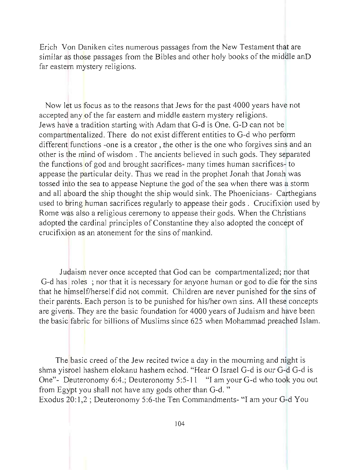Erich Von Daniken cites numerous passages from the New Testament that are similar as those passages from the Bibles and other *hol y* books of the middle anD far eastern mystery religions.

Now let us focus as to the reasons that Jews for the past 4000 years have not accepted any of the far eastern and middle eastern mystery religions. Jews have a tradition starting with Adam that G-d is One. G-D can not be compartmentalized. There do not exist different entities to G-d who perform different functions -one is a creator, the other is the one who forgives sins and an other is the mind of wisdom . The ancients believed in such gods. They separated the functions of god and brought sacrifices- many times human sacrifices- to appease the particular deity. Thus we read in the prophet Jonah that Jonah was tossed into the sea to appease Neptune the god of the sea when there was a storm and all aboard the ship thought the ship would sink. The Phoenicians- Carthegians used to bring human sacrifices regularly to appease their gods. Crucifixion used by Rome was also a religious ceremony to appease their gods. When the Christians adopted the cardinal principles of Constantine they also adopted the concept of crucifixion as an atonement for the sins of mankind.

Judaism never once accepted that God can be compartmentalized; nor that G-d has roles ; nor that it is necessary for anyone human or god to die for the sins that he himself/herself did not commit. Children are never punished for the sins of their parents. Each person is to be punished for his/her own sins. All these concepts are givens. They are the basic foundation for 4000 years of Judaism and have been the basic fabric for billions of Muslims since 625 when Mohammad preached Islam.

The basic creed of the Jew recited twice a day in the mourning and night is shma yisroel hashem elokanu hashem echod. "Hear O Israel G-d is our G-d G-d is One"- Deuteronomy 6:4.; Deuteronomy 5:5-11 " I am your G-d who took you out from Egypt you shall not have any gods other than G-d. " Exodus 20: 1,2 ; Deuteronomy 5 :6-the Ten Commandments- "I am your G-d You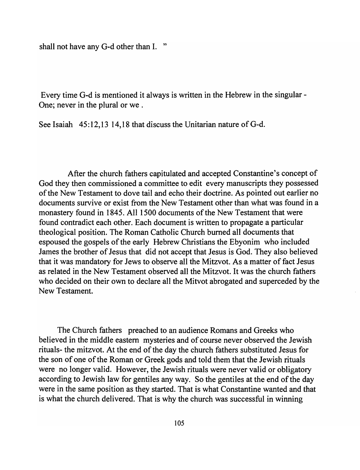shall not have any G-d other than I. "

Every time G-d is mentioned it always is written in the Hebrew in the singular - One; never in the plural or we .

See Isaiah 45:12,13 14,18 that discuss the Unitarian nature of G-d.

After the church fathers capitulated and accepted Constantine's concept of God they then commissioned a committee to edit every manuscripts they possessed of the New Testament to dove tail and echo their doctrine. As pointed out earlier no documents survive or exist from the New Testament other than what was found in a monastery found in 1845. All 1500 documents of the New Testament that were found contradict each other. Each document is written to propagate a particular theological position. The Roman Catholic Church burned all documents that espoused the gospels of the early Hebrew Christians the Ebyonim who included James the brother of Jesus that did not accept that Jesus is God. They also believed that it was mandatory for Jews to observe all the Mitzvot. As a matter of fact Jesus as related in the New Testament observed all the Mitzvot. It was the church fathers who decided on their own to declare all the Mitvot abrogated and superceded by the New Testament.

The Church fathers preached to an audience Romans and Greeks who believed in the middle eastern mysteries and of course never observed the Jewish rituals- the mitzvot. At the end of the day the church fathers substituted Jesus for the son of one of the Roman or Greek gods and told them that the Jewish rituals were no longer valid. However, the Jewish rituals were never valid or obligatory according to Jewish law for gentiles any way. So the gentiles at the end of the day were in the same position as they started. That is what Constantine wanted and that is what the church delivered. That is why the church was successful in winning